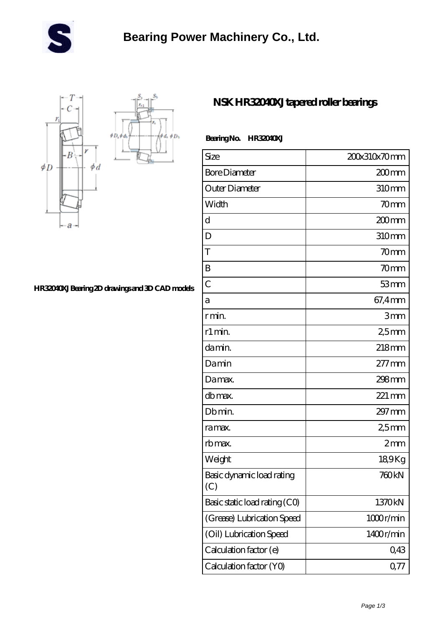



## **[HR32040XJ Bearing 2D drawings and 3D CAD models](https://m.wifkn.com/pic-48610.html)**

## **[NSK HR32040XJ tapered roller bearings](https://m.wifkn.com/bh-48610-nsk-hr32040xj-tapered-roller-bearings.html)**

## **Bearing No. HR32040XJ**

| Size                             | 200x310x70mm      |
|----------------------------------|-------------------|
| <b>Bore Diameter</b>             | 200 <sub>mm</sub> |
| Outer Diameter                   | 310mm             |
| Width                            | 70mm              |
| d                                | 200 <sub>mm</sub> |
| D                                | 310mm             |
| T                                | 70 <sub>mm</sub>  |
| B                                | 70 <sub>mm</sub>  |
| $\overline{C}$                   | 53mm              |
| а                                | 67,4mm            |
| r min.                           | 3mm               |
| r1 min.                          | 25mm              |
| damin.                           | 218mm             |
| Damin                            | $277 \text{mm}$   |
| Damax.                           | 298mm             |
| db max.                          | 221 mm            |
| Db min.                          | 297 mm            |
| ra max.                          | 25mm              |
| rb max.                          | 2mm               |
| Weight                           | 189Kg             |
| Basic dynamic load rating<br>(C) | 760 <sub>kN</sub> |
| Basic static load rating (CO)    | 1370kN            |
| (Grease) Lubrication Speed       | 1000r/min         |
| (Oil) Lubrication Speed          | 1400r/min         |
| Calculation factor (e)           | 0,43              |
| Calculation factor (YO)          | 0.77              |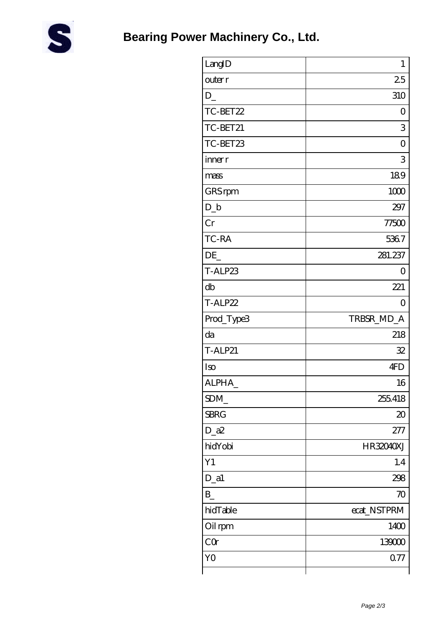

| LangID         | $\mathbf{1}$   |
|----------------|----------------|
| outer r        | 25             |
| $D_{-}$        | 310            |
| TC-BET22       | $\overline{O}$ |
| TC-BET21       | 3              |
| TC-BET23       | $\overline{O}$ |
| inner r        | 3              |
| mass           | 189            |
| GRS rpm        | 1000           |
| $D_b$          | 297            |
| Cr             | 77500          |
| TC-RA          | 5367           |
| DE             | 281.237        |
| T-ALP23        | 0              |
| db             | 221            |
| T-ALP22        | $\Omega$       |
| Prod_Type3     | TRBSR_MD_A     |
| da             | 218            |
| <b>T-ALP21</b> | 32             |
| Iso            | 4FD            |
| ALPHA          | 16             |
| SDM            | 255418         |
| <b>SBRG</b>    | $\infty$       |
| $D_2a2$        | 277            |
| hidYobi        | HR32040XJ      |
| Y1             | 1.4            |
| $D_$ a1        | 298            |
| $B_{-}$        | 70             |
| hidTable       | ecat_NSTPRM    |
| Oil rpm        | 1400           |
| CQ             | 139000         |
| Y <sub>O</sub> | 0.77           |
|                |                |